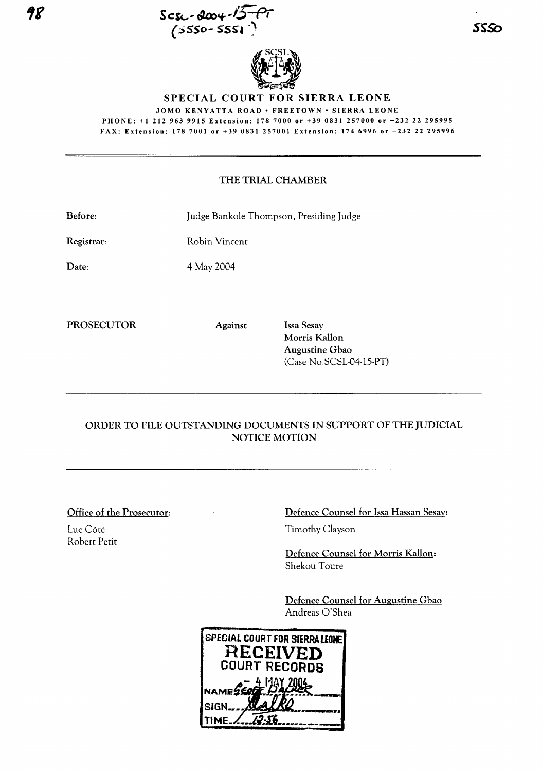



**SPECIAL COURT FOR SIERRA LEONE**

JOMO KENYATTA ROAD · FREETOWN · SIERRA LEONE PHONE: +1 212 963 9915 Extension: 1787000 or +39 0831 257000 or +232 22 295995 FAX: Extension: 1787001 or +39 0831257001 Extension: 174 6996 or +232 22 295996

## THE TRIAL CHAMBER

Before: Judge Bankole Thompson, Presiding Judge

Registrar: Robin Vincent

Date:

4 May 2004

PROSECUTOR Against Issa Sesay

Morris Kallon Augustine Gbao (Case No.SCSL-04-15-PT)

## ORDER TO FILE OUTSTANDING DOCUMENTS IN SUPPORT OF THE JUDICIAL NOTICE MOTION

Office of the Prosecutor:

Luc Côté Robert Petit Defence Counsel for Issa Hassan Sesay:

Timothy Clayson

Defence Counsel for Morris Kallon: Shekou Toure

Defence Counsel for Augustine Gbao Andreas O'Shea